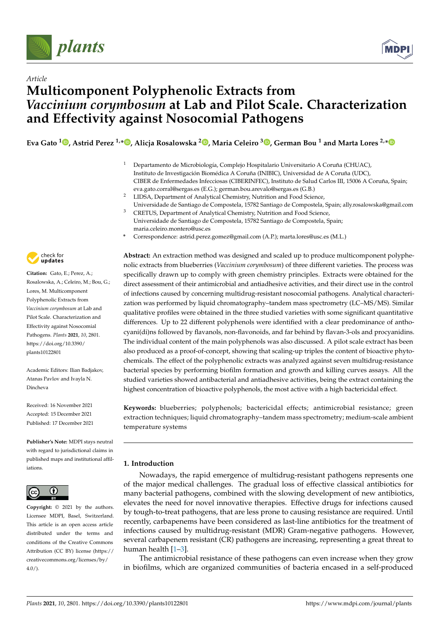



# *Article* **Multicomponent Polyphenolic Extracts from** *Vaccinium corymbosum* **at Lab and Pilot Scale. Characterization and Effectivity against Nosocomial Pathogens**

Eva Gato <sup>1</sup>D[,](https://orcid.org/0000-0002-3212-5743) Astrid Perez <sup>1,</sup>[\\*](https://orcid.org/0000-0001-7683-8342)D, Alicja Rosalowska <sup>2</sup>D, Maria Celeiro <sup>3</sup>D, German Bou <sup>1</sup> and Marta Lores <sup>2,</sup>\*

- <sup>1</sup> Departamento de Microbiología, Complejo Hospitalario Universitario A Coruña (CHUAC), Instituto de Investigación Biomédica A Coruña (INIBIC), Universidad de A Coruña (UDC), CIBER de Enfermedades Infecciosas (CIBERINFEC), Instituto de Salud Carlos III, 15006 A Coruña, Spain; eva.gato.corral@sergas.es (E.G.); german.bou.arevalo@sergas.es (G.B.)
- <sup>2</sup> LIDSA, Department of Analytical Chemistry, Nutrition and Food Science, Universidade de Santiago de Compostela, 15782 Santiago de Compostela, Spain; ally.rosalowska@gmail.com <sup>3</sup> CRETUS, Department of Analytical Chemistry, Nutrition and Food Science,
- Universidade de Santiago de Compostela, 15782 Santiago de Compostela, Spain; maria.celeiro.montero@usc.es
- **\*** Correspondence: astrid.perez.gomez@gmail.com (A.P.); marta.lores@usc.es (M.L.)

**- Citation:** Gato, E.; Perez, A.; Rosalowska, A.; Celeiro, M.; Bou, G.; Lores, M. Multicomponent Polyphenolic Extracts from *Vaccinium corymbosum* at Lab and Pilot Scale. Characterization and Effectivity against Nosocomial Pathogens. *Plants* **2021**, *10*, 2801. [https://doi.org/10.3390/](https://doi.org/10.3390/plants10122801) [plants10122801](https://doi.org/10.3390/plants10122801)

check for

Academic Editors: Ilian Badjakov, Atanas Pavlov and Ivayla N. Dincheva

Received: 16 November 2021 Accepted: 15 December 2021 Published: 17 December 2021

**Publisher's Note:** MDPI stays neutral with regard to jurisdictional claims in published maps and institutional affiliations.



**Copyright:** © 2021 by the authors. Licensee MDPI, Basel, Switzerland. This article is an open access article distributed under the terms and conditions of the Creative Commons Attribution (CC BY) license (https:/[/](https://creativecommons.org/licenses/by/4.0/) [creativecommons.org/licenses/by/](https://creativecommons.org/licenses/by/4.0/)  $4.0/$ ).

**Abstract:** An extraction method was designed and scaled up to produce multicomponent polyphenolic extracts from blueberries (*Vaccinium corymbosum*) of three different varieties. The process was specifically drawn up to comply with green chemistry principles. Extracts were obtained for the direct assessment of their antimicrobial and antiadhesive activities, and their direct use in the control of infections caused by concerning multidrug-resistant nosocomial pathogens. Analytical characterization was performed by liquid chromatography–tandem mass spectrometry (LC–MS/MS). Similar qualitative profiles were obtained in the three studied varieties with some significant quantitative differences. Up to 22 different polyphenols were identified with a clear predominance of anthocyani(di)ns followed by flavanols, non-flavonoids, and far behind by flavan-3-ols and procyanidins. The individual content of the main polyphenols was also discussed. A pilot scale extract has been also produced as a proof-of-concept, showing that scaling-up triples the content of bioactive phytochemicals. The effect of the polyphenolic extracts was analyzed against seven multidrug-resistance bacterial species by performing biofilm formation and growth and killing curves assays. All the studied varieties showed antibacterial and antiadhesive activities, being the extract containing the highest concentration of bioactive polyphenols, the most active with a high bactericidal effect.

**Keywords:** blueberries; polyphenols; bactericidal effects; antimicrobial resistance; green extraction techniques; liquid chromatography–tandem mass spectrometry; medium-scale ambient temperature systems

# **1. Introduction**

Nowadays, the rapid emergence of multidrug-resistant pathogens represents one of the major medical challenges. The gradual loss of effective classical antibiotics for many bacterial pathogens, combined with the slowing development of new antibiotics, elevates the need for novel innovative therapies. Effective drugs for infections caused by tough-to-treat pathogens, that are less prone to causing resistance are required. Until recently, carbapenems have been considered as last-line antibiotics for the treatment of infections caused by multidrug-resistant (MDR) Gram-negative pathogens. However, several carbapenem resistant (CR) pathogens are increasing, representing a great threat to human health [\[1](#page-13-0)[–3\]](#page-13-1).

The antimicrobial resistance of these pathogens can even increase when they grow in biofilms, which are organized communities of bacteria encased in a self-produced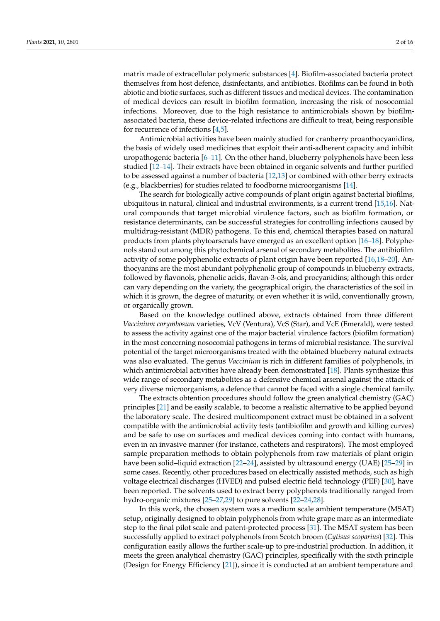matrix made of extracellular polymeric substances [\[4\]](#page-13-2). Biofilm-associated bacteria protect themselves from host defence, disinfectants, and antibiotics. Biofilms can be found in both abiotic and biotic surfaces, such as different tissues and medical devices. The contamination of medical devices can result in biofilm formation, increasing the risk of nosocomial infections. Moreover, due to the high resistance to antimicrobials shown by biofilmassociated bacteria, these device-related infections are difficult to treat, being responsible for recurrence of infections [\[4,](#page-13-2)[5\]](#page-13-3).

Antimicrobial activities have been mainly studied for cranberry proanthocyanidins, the basis of widely used medicines that exploit their anti-adherent capacity and inhibit uropathogenic bacteria [\[6–](#page-13-4)[11\]](#page-14-0). On the other hand, blueberry polyphenols have been less studied [\[12–](#page-14-1)[14\]](#page-14-2). Their extracts have been obtained in organic solvents and further purified to be assessed against a number of bacteria [\[12,](#page-14-1)[13\]](#page-14-3) or combined with other berry extracts (e.g., blackberries) for studies related to foodborne microorganisms [\[14\]](#page-14-2).

The search for biologically active compounds of plant origin against bacterial biofilms, ubiquitous in natural, clinical and industrial environments, is a current trend [\[15](#page-14-4)[,16\]](#page-14-5). Natural compounds that target microbial virulence factors, such as biofilm formation, or resistance determinants, can be successful strategies for controlling infections caused by multidrug-resistant (MDR) pathogens. To this end, chemical therapies based on natural products from plants phytoarsenals have emerged as an excellent option [\[16–](#page-14-5)[18\]](#page-14-6). Polyphenols stand out among this phytochemical arsenal of secondary metabolites. The antibiofilm activity of some polyphenolic extracts of plant origin have been reported [\[16](#page-14-5)[,18–](#page-14-6)[20\]](#page-14-7). Anthocyanins are the most abundant polyphenolic group of compounds in blueberry extracts, followed by flavonols, phenolic acids, flavan-3-ols, and procyanidins; although this order can vary depending on the variety, the geographical origin, the characteristics of the soil in which it is grown, the degree of maturity, or even whether it is wild, conventionally grown, or organically grown.

Based on the knowledge outlined above, extracts obtained from three different *Vaccinium corymbosum* varieties, VcV (Ventura), VcS (Star), and VcE (Emerald), were tested to assess the activity against one of the major bacterial virulence factors (biofilm formation) in the most concerning nosocomial pathogens in terms of microbial resistance. The survival potential of the target microorganisms treated with the obtained blueberry natural extracts was also evaluated. The genus *Vaccinium* is rich in different families of polyphenols, in which antimicrobial activities have already been demonstrated [\[18\]](#page-14-6). Plants synthesize this wide range of secondary metabolites as a defensive chemical arsenal against the attack of very diverse microorganisms, a defence that cannot be faced with a single chemical family.

The extracts obtention procedures should follow the green analytical chemistry (GAC) principles [\[21\]](#page-14-8) and be easily scalable, to become a realistic alternative to be applied beyond the laboratory scale. The desired multicomponent extract must be obtained in a solvent compatible with the antimicrobial activity tests (antibiofilm and growth and killing curves) and be safe to use on surfaces and medical devices coming into contact with humans, even in an invasive manner (for instance, catheters and respirators). The most employed sample preparation methods to obtain polyphenols from raw materials of plant origin have been solid–liquid extraction [\[22–](#page-14-9)[24\]](#page-14-10), assisted by ultrasound energy (UAE) [\[25–](#page-14-11)[29\]](#page-14-12) in some cases. Recently, other procedures based on electrically assisted methods, such as high voltage electrical discharges (HVED) and pulsed electric field technology (PEF) [\[30\]](#page-14-13), have been reported. The solvents used to extract berry polyphenols traditionally ranged from hydro-organic mixtures [\[25](#page-14-11)[–27,](#page-14-14)[29\]](#page-14-12) to pure solvents [\[22–](#page-14-9)[24](#page-14-10)[,28\]](#page-14-15).

In this work, the chosen system was a medium scale ambient temperature (MSAT) setup, originally designed to obtain polyphenols from white grape marc as an intermediate step to the final pilot scale and patent-protected process [\[31\]](#page-14-16). The MSAT system has been successfully applied to extract polyphenols from Scotch broom (*Cytisus scoparius*) [\[32\]](#page-14-17). This configuration easily allows the further scale-up to pre-industrial production. In addition, it meets the green analytical chemistry (GAC) principles, specifically with the sixth principle (Design for Energy Efficiency [\[21\]](#page-14-8)), since it is conducted at an ambient temperature and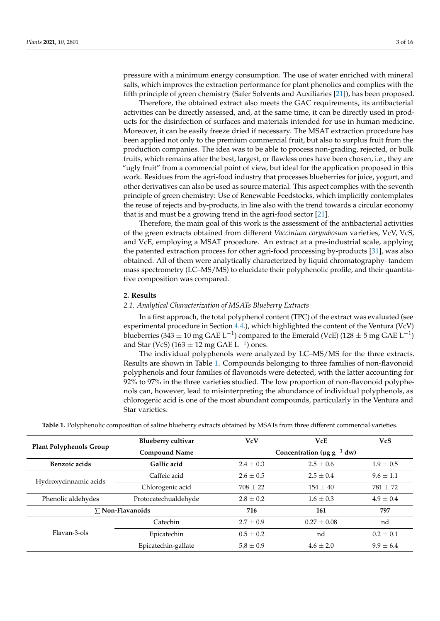pressure with a minimum energy consumption. The use of water enriched with mineral salts, which improves the extraction performance for plant phenolics and complies with the fifth principle of green chemistry (Safer Solvents and Auxiliaries [\[21\]](#page-14-8)), has been proposed.

Therefore, the obtained extract also meets the GAC requirements, its antibacterial activities can be directly assessed, and, at the same time, it can be directly used in products for the disinfection of surfaces and materials intended for use in human medicine. Moreover, it can be easily freeze dried if necessary. The MSAT extraction procedure has been applied not only to the premium commercial fruit, but also to surplus fruit from the production companies. The idea was to be able to process non-grading, rejected, or bulk fruits, which remains after the best, largest, or flawless ones have been chosen, i.e., they are "ugly fruit" from a commercial point of view, but ideal for the application proposed in this work. Residues from the agri-food industry that processes blueberries for juice, yogurt, and other derivatives can also be used as source material. This aspect complies with the seventh principle of green chemistry: Use of Renewable Feedstocks, which implicitly contemplates the reuse of rejects and by-products, in line also with the trend towards a circular economy that is and must be a growing trend in the agri-food sector [\[21\]](#page-14-8).

Therefore, the main goal of this work is the assessment of the antibacterial activities of the green extracts obtained from different *Vaccinium corymbosum* varieties, VcV, VcS, and VcE, employing a MSAT procedure. An extract at a pre-industrial scale, applying the patented extraction process for other agri-food processing by-products [\[31\]](#page-14-16), was also obtained. All of them were analytically characterized by liquid chromatography–tandem mass spectrometry (LC–MS/MS) to elucidate their polyphenolic profile, and their quantitative composition was compared.

# **2. Results**

#### *2.1. Analytical Characterization of MSATs Blueberry Extracts*

In a first approach, the total polyphenol content (TPC) of the extract was evaluated (see experimental procedure in Section [4.4.](#page-11-0)), which highlighted the content of the Ventura (VcV) blueberries (343  $\pm$  10 mg GAE L<sup>-1</sup>) compared to the Emerald (VcE) (128  $\pm$  5 mg GAE L<sup>-1</sup>) and Star (VcS) (163  $\pm$  12 mg GAE L<sup>-1</sup>) ones.

The individual polyphenols were analyzed by LC–MS/MS for the three extracts. Results are shown in Table [1.](#page-3-0) Compounds belonging to three families of non-flavonoid polyphenols and four families of flavonoids were detected, with the latter accounting for 92% to 97% in the three varieties studied. The low proportion of non-flavonoid polyphenols can, however, lead to misinterpreting the abundance of individual polyphenols, as chlorogenic acid is one of the most abundant compounds, particularly in the Ventura and Star varieties.

**Table 1.** Polyphenolic composition of saline blueberry extracts obtained by MSATs from three different commercial varieties.

|                                | Blueberry cultivar   | <b>VcV</b>                                  | <b>VcE</b>    | <b>VcS</b>    |
|--------------------------------|----------------------|---------------------------------------------|---------------|---------------|
| <b>Plant Polyphenols Group</b> | <b>Compound Name</b> | Concentration ( $\mu$ g g <sup>-1</sup> dw) |               |               |
| <b>Benzoic</b> acids           | Gallic acid          | $2.4 \pm 0.3$                               | $2.5 + 0.6$   | $1.9 \pm 0.5$ |
| Hydroxycinnamic acids          | Caffeic acid         | $2.6 \pm 0.5$                               | $2.5 + 0.4$   | $9.6 + 1.1$   |
|                                | Chlorogenic acid     | $708 + 22$                                  | $154 + 40$    | $781 + 72$    |
| Phenolic aldehydes             | Protocatechualdehyde | $2.8 \pm 0.2$                               | $1.6 \pm 0.3$ | $4.9 \pm 0.4$ |
| $\Sigma$ Non-Flavanoids        |                      | 716                                         | 161           | 797           |
| Flavan-3-ols                   | Catechin             | $2.7 + 0.9$                                 | $0.27 + 0.08$ | nd            |
|                                | Epicatechin          | $0.5 \pm 0.2$                               | nd            | $0.2 \pm 0.1$ |
|                                | Epicatechin-gallate  | $5.8 + 0.9$                                 | $4.6 + 2.0$   | $9.9 + 6.4$   |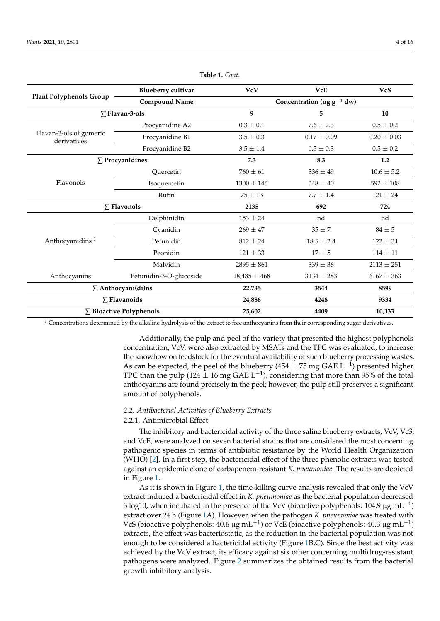<span id="page-3-0"></span>

|                                        | <b>Blueberry cultivar</b> | <b>VcV</b>                                  | <b>VcE</b>      | <b>VcS</b>      |
|----------------------------------------|---------------------------|---------------------------------------------|-----------------|-----------------|
| <b>Plant Polyphenols Group</b>         | <b>Compound Name</b>      | Concentration ( $\mu$ g g <sup>-1</sup> dw) |                 |                 |
| $\Sigma$ Flavan-3-ols                  |                           | 9                                           | 5               | 10              |
|                                        | Procyanidine A2           | $0.3 \pm 0.1$                               | $7.6 \pm 2.3$   | $0.5 \pm 0.2$   |
| Flavan-3-ols oligomeric<br>derivatives | Procyanidine B1           | $3.5 \pm 0.3$                               | $0.17 \pm 0.09$ | $0.20 \pm 0.03$ |
|                                        | Procyanidine B2           | $3.5 \pm 1.4$                               | $0.5 \pm 0.3$   | $0.5\pm0.2$     |
| $\Sigma$ Procyanidines                 |                           | 7.3                                         | 8.3             | 1.2             |
|                                        | Ouercetin                 | $760 \pm 61$                                | $336 \pm 49$    | $10.6 \pm 5.2$  |
| Flavonols                              | Isoquercetin              | $1300 \pm 146$                              | $348 \pm 40$    | $592 \pm 108$   |
|                                        | Rutin                     | $75 \pm 13$                                 | $7.7 + 1.4$     | $121 \pm 24$    |
| $\Sigma$ Flavonols                     |                           | 2135                                        | 692             | 724             |
|                                        | Delphinidin               | $153 \pm 24$                                | nd              | nd              |
|                                        | Cyanidin                  | $269 \pm 47$                                | $35 \pm 7$      | $84 \pm 5$      |
| Anthocyanidins <sup>1</sup>            | Petunidin                 | $812 \pm 24$                                | $18.5 \pm 2.4$  | $122 \pm 34$    |
|                                        | Peonidin                  | $121 \pm 33$                                | $17\pm5$        | $114 \pm 11$    |
|                                        | Malvidin                  | $2895 \pm 861$                              | $339 \pm 36$    | $2113 \pm 251$  |
| Anthocyanins                           | Petunidin-3-O-glucoside   | $18,485 \pm 468$                            | $3134 \pm 283$  | $6167 \pm 363$  |
| $\Sigma$ Anthocyani(di)ns              |                           | 22,735                                      | 3544            | 8599            |
| $\Sigma$ Flavanoids                    |                           | 24,886                                      | 4248            | 9334            |
| $\Sigma$ Bioactive Polyphenols         |                           | 25,602                                      | 4409            | 10,133          |

**Table 1.** *Cont.*

 $1$  Concentrations determined by the alkaline hydrolysis of the extract to free anthocyanins from their corresponding sugar derivatives.

Additionally, the pulp and peel of the variety that presented the highest polyphenols concentration, VcV, were also extracted by MSATs and the TPC was evaluated, to increase the knowhow on feedstock for the eventual availability of such blueberry processing wastes. As can be expected, the peel of the blueberry (454  $\pm$  75 mg GAE L<sup>-1</sup>) presented higher TPC than the pulp (124  $\pm$  16 mg GAE L<sup>-1</sup>), considering that more than 95% of the total anthocyanins are found precisely in the peel; however, the pulp still preserves a significant amount of polyphenols.

# *2.2. Antibacterial Activities of Blueberry Extracts*

# 2.2.1. Antimicrobial Effect

The inhibitory and bactericidal activity of the three saline blueberry extracts, VcV, VcS, and VcE, were analyzed on seven bacterial strains that are considered the most concerning pathogenic species in terms of antibiotic resistance by the World Health Organization (WHO) [\[2\]](#page-13-5). In a first step, the bactericidal effect of the three phenolic extracts was tested against an epidemic clone of carbapenem-resistant *K. pneumoniae*. The results are depicted in Figure [1.](#page-4-0)

As it is shown in Figure [1,](#page-4-0) the time-killing curve analysis revealed that only the VcV extract induced a bactericidal effect in *K. pneumoniae* as the bacterial population decreased 3 log10, when incubated in the presence of the VcV (bioactive polyphenols: 104.9  $\mu$ g mL<sup>-1</sup>) extract over 24 h (Figure [1A](#page-4-0)). However, when the pathogen *K. pneumoniae* was treated with VcS (bioactive polyphenols:  $40.6 \mu g$  mL<sup>-1</sup>) or VcE (bioactive polyphenols:  $40.3 \mu g$  mL<sup>-1</sup>) extracts, the effect was bacteriostatic, as the reduction in the bacterial population was not enough to be considered a bactericidal activity (Figure [1B](#page-4-0),C). Since the best activity was achieved by the VcV extract, its efficacy against six other concerning multidrug-resistant pathogens were analyzed. Figure [2](#page-5-0) summarizes the obtained results from the bacterial growth inhibitory analysis.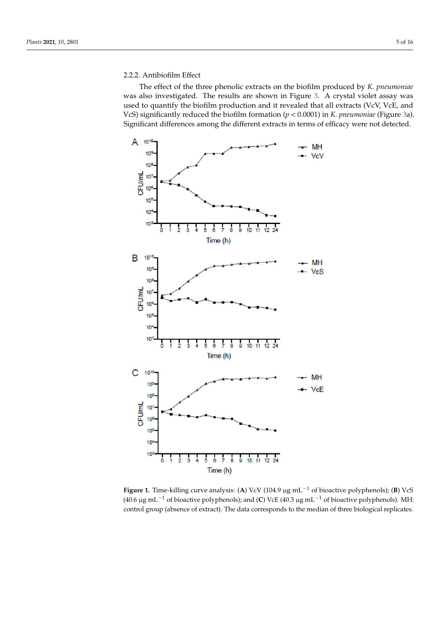# 2.2.2. Antibiofilm Effect

The effect of the three phenolic extracts on the biofilm produced by *K. pneumoniae* was also investigated. The results are shown in Figure [3.](#page-5-1) A crystal violet assay was used to quantify the biofilm production and it revealed that all extracts (VcV, VcE, and VcS) significantly reduced the biofilm formation (*p* < 0.0001) in *K. pneumoniae* (Figure [3a](#page-5-1)). Significant differences among the different extracts in terms of efficacy were not detected.

<span id="page-4-0"></span>

**Figure 1.** Time-killing curve analysis: (**A**) VcV (104.9 µg mL−<sup>1</sup> of bioactive polyphenols); (**B**) VcS (40.6 µg mL−<sup>1</sup> of bioactive polyphenols); and (**C**) VcE (40.3 µg mL−<sup>1</sup> of bioactive polyphenols). MH: control group (absence of extract). The data corresponds to the median of three biological replicates.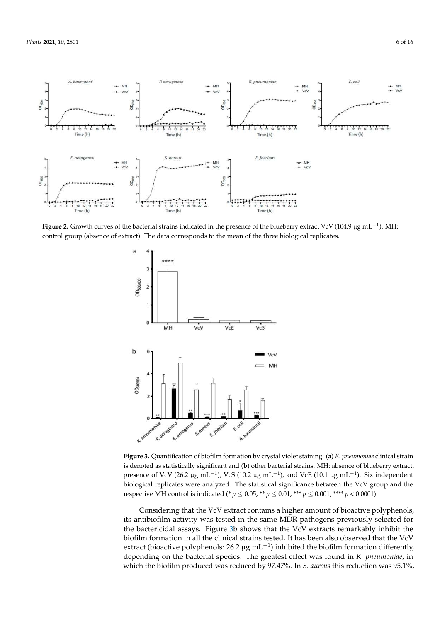<span id="page-5-0"></span>

**Figure 2.** Growth curves of the bacterial strains indicated in the presence of the blueberry extract VcV (104.9 µg mL−<sup>1</sup> ). MH: control group (absence of extract). The data corresponds to the mean of the three biological replicates.

<span id="page-5-1"></span>

**Figure 3.** Quantification of biofilm formation by crystal violet staining: (**a**) *K. pneumoniae* clinical strain is denoted as statistically significant and (**b**) other bacterial strains. MH: absence of blueberry extract, presence of VcV (26.2 μg mL<sup>-1</sup>), VcS (10.2 μg mL<sup>-1</sup>), and VcE (10.1 μg mL<sup>-1</sup>). Six independent biological replicates were analyzed. The statistical significance between the VcV group and the respective MH control is indicated (\*  $p \le 0.05$ , \*\*  $p \le 0.01$ , \*\*\*  $p \le 0.001$ , \*\*\*\*  $p < 0.0001$ ).

Considering that the VcV extract contains a higher amount of bioactive polyphenols, its antibiofilm activity was tested in the same MDR pathogens previously selected for the bactericidal assays. Figure [3b](#page-5-1) shows that the VcV extracts remarkably inhibit the biofilm formation in all the clinical strains tested. It has been also observed that the VcV extract (bioactive polyphenols: 26.2 µg mL<sup>-1</sup>) inhibited the biofilm formation differently, depending on the bacterial species. The greatest effect was found in *K. pneumoniae*, in which the biofilm produced was reduced by 97.47%. In *S. aureus* this reduction was 95.1%,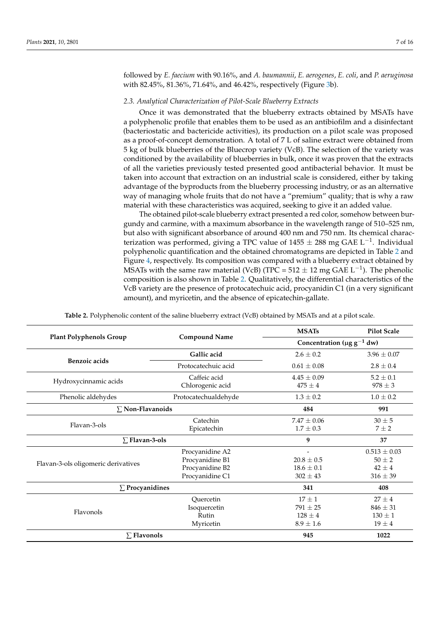followed by *E. faecium* with 90.16%, and *A. baumannii*, *E. aerogenes*, *E. coli*, and *P. aeruginosa* with 82.45%, 81.36%, 71.64%, and 46.42%, respectively (Figure [3b](#page-5-1)).

### *2.3. Analytical Characterization of Pilot-Scale Blueberry Extracts*

Once it was demonstrated that the blueberry extracts obtained by MSATs have a polyphenolic profile that enables them to be used as an antibiofilm and a disinfectant (bacteriostatic and bactericide activities), its production on a pilot scale was proposed as a proof-of-concept demonstration. A total of 7 L of saline extract were obtained from 5 kg of bulk blueberries of the Bluecrop variety (VcB). The selection of the variety was conditioned by the availability of blueberries in bulk, once it was proven that the extracts of all the varieties previously tested presented good antibacterial behavior. It must be taken into account that extraction on an industrial scale is considered, either by taking advantage of the byproducts from the blueberry processing industry, or as an alternative way of managing whole fruits that do not have a "premium" quality; that is why a raw material with these characteristics was acquired, seeking to give it an added value.

The obtained pilot-scale blueberry extract presented a red color, somehow between burgundy and carmine, with a maximum absorbance in the wavelength range of 510–525 nm, but also with significant absorbance of around 400 nm and 750 nm. Its chemical characterization was performed, giving a TPC value of  $1455 \pm 288$  mg GAE L<sup>-1</sup>. Individual polyphenolic quantification and the obtained chromatograms are depicted in Table [2](#page-7-0) and Figure [4,](#page-7-1) respectively. Its composition was compared with a blueberry extract obtained by MSATs with the same raw material (VcB) (TPC =  $512 \pm 12$  mg GAE L<sup>-1</sup>). The phenolic composition is also shown in Table [2.](#page-7-0) Qualitatively, the differential characteristics of the VcB variety are the presence of protocatechuic acid, procyanidin C1 (in a very significant amount), and myricetin, and the absence of epicatechin-gallate.

|                                     | <b>Compound Name</b>                                                     | <b>MSATs</b>                                               | <b>Pilot Scale</b>                                           |
|-------------------------------------|--------------------------------------------------------------------------|------------------------------------------------------------|--------------------------------------------------------------|
| <b>Plant Polyphenols Group</b>      |                                                                          | Concentration (µg $g^{-1}$ dw)                             |                                                              |
|                                     | Gallic acid                                                              | $2.6 \pm 0.2$                                              | $3.96 \pm 0.07$                                              |
| Benzoic acids                       | Protocatechuic acid                                                      | $0.61 \pm 0.08$                                            | $2.8 \pm 0.4$                                                |
| Hydroxycinnamic acids               | Caffeic acid<br>Chlorogenic acid                                         | $4.45 \pm 0.09$<br>$475 \pm 4$                             | $5.2 \pm 0.1$<br>$978 \pm 3$                                 |
| Phenolic aldehydes                  | Protocatechualdehyde                                                     | $1.3 \pm 0.2$                                              | $1.0 \pm 0.2$                                                |
| $\Sigma$ Non-Flavanoids             |                                                                          | 484                                                        | 991                                                          |
| Flavan-3-ols                        | Catechin<br>Epicatechin                                                  | $7.47 + 0.06$<br>$1.7 \pm 0.3$                             | $30 \pm 5$<br>$7\pm2$                                        |
| $\Sigma$ Flavan-3-ols               |                                                                          | 9                                                          | 37                                                           |
| Flavan-3-ols oligomeric derivatives | Procyanidine A2<br>Procyanidine B1<br>Procyanidine B2<br>Procyanidine C1 | $20.8 \pm 0.5$<br>$18.6 \pm 0.1$<br>$302 \pm 43$           | $0.513 \pm 0.03$<br>$50 \pm 2$<br>$42 \pm 4$<br>$316 \pm 39$ |
| $\Sigma$ Procyanidines              |                                                                          | 341                                                        | 408                                                          |
| Flavonols                           | Quercetin<br>Isoquercetin<br>Rutin<br>Myricetin                          | $17 \pm 1$<br>$791 \pm 25$<br>$128 \pm 4$<br>$8.9 \pm 1.6$ | $27 \pm 4$<br>$846 \pm 31$<br>$130 \pm 1$<br>$19 \pm 4$      |
| $\Sigma$ Flavonols                  |                                                                          | 945                                                        | 1022                                                         |

**Table 2.** Polyphenolic content of the saline blueberry extract (VcB) obtained by MSATs and at a pilot scale.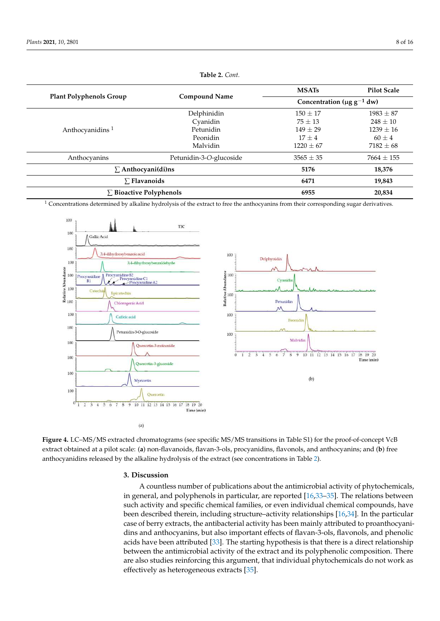<span id="page-7-0"></span>

|                                | <b>Compound Name</b>    | <b>MSATs</b>                                | <b>Pilot Scale</b> |
|--------------------------------|-------------------------|---------------------------------------------|--------------------|
| <b>Plant Polyphenols Group</b> |                         | Concentration ( $\mu$ g g <sup>-1</sup> dw) |                    |
|                                | Delphinidin             | $150 \pm 17$                                | $1983 \pm 87$      |
|                                | Cyanidin                | $75 \pm 13$                                 | $248 \pm 10$       |
| Anthocyanidins <sup>1</sup>    | Petunidin               | $149 + 29$                                  | $1239 \pm 16$      |
|                                | Peonidin                | $17 + 4$                                    | $60 \pm 4$         |
|                                | Malvidin                | $1220 \pm 67$                               | $7182 \pm 68$      |
| Anthocyanins                   | Petunidin-3-O-glucoside | $3565 \pm 35$                               | $7664 \pm 155$     |
| $\Sigma$ Anthocyani(di)ns      |                         | 5176                                        | 18,376             |
| $\Sigma$ Flavanoids            |                         | 6471                                        | 19,843             |
| $\Sigma$ Bioactive Polyphenols |                         | 6955                                        | 20,834             |

**Table 2.** *Cont.*

<span id="page-7-1"></span> $1$  Concentrations determined by alkaline hydrolysis of the extract to free the anthocyanins from their corresponding sugar derivatives.



**Figure 4.** LC–MS/MS extracted chromatograms (see specific MS/MS transitions in Table S1) for the proof-of-concept VcB extract obtained at a pilot scale: (**a**) non-flavanoids, flavan-3-ols, procyanidins, flavonols, and anthocyanins; and (**b**) free anthocyanidins released by the alkaline hydrolysis of the extract (see concentrations in Table [2\)](#page-7-0).

### **3. Discussion**

A countless number of publications about the antimicrobial activity of phytochemicals, in general, and polyphenols in particular, are reported [\[16,](#page-14-5)[33](#page-15-0)[–35\]](#page-15-1). The relations between such activity and specific chemical families, or even individual chemical compounds, have been described therein, including structure–activity relationships [\[16](#page-14-5)[,34\]](#page-15-2). In the particular case of berry extracts, the antibacterial activity has been mainly attributed to proanthocyanidins and anthocyanins, but also important effects of flavan-3-ols, flavonols, and phenolic acids have been attributed [\[33\]](#page-15-0). The starting hypothesis is that there is a direct relationship between the antimicrobial activity of the extract and its polyphenolic composition. There are also studies reinforcing this argument, that individual phytochemicals do not work as effectively as heterogeneous extracts [\[35\]](#page-15-1).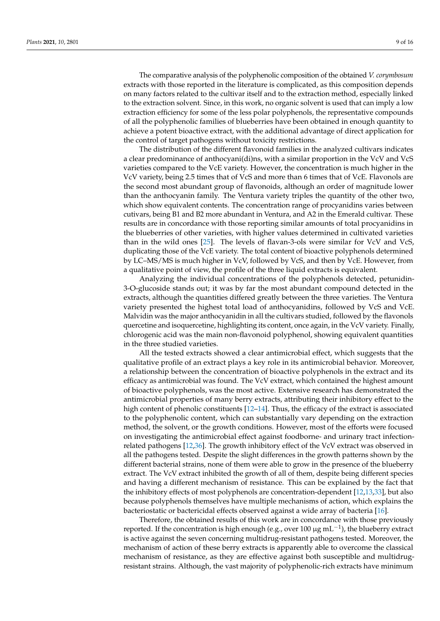The comparative analysis of the polyphenolic composition of the obtained *V. corymbosum* extracts with those reported in the literature is complicated, as this composition depends on many factors related to the cultivar itself and to the extraction method, especially linked to the extraction solvent. Since, in this work, no organic solvent is used that can imply a low extraction efficiency for some of the less polar polyphenols, the representative compounds of all the polyphenolic families of blueberries have been obtained in enough quantity to achieve a potent bioactive extract, with the additional advantage of direct application for the control of target pathogens without toxicity restrictions.

The distribution of the different flavonoid families in the analyzed cultivars indicates a clear predominance of anthocyani(di)ns, with a similar proportion in the VcV and VcS varieties compared to the VcE variety. However, the concentration is much higher in the VcV variety, being 2.5 times that of VcS and more than 6 times that of VcE. Flavonols are the second most abundant group of flavonoids, although an order of magnitude lower than the anthocyanin family. The Ventura variety triples the quantity of the other two, which show equivalent contents. The concentration range of procyanidins varies between cutivars, being B1 and B2 more abundant in Ventura, and A2 in the Emerald cultivar. These results are in concordance with those reporting similar amounts of total procyanidins in the blueberries of other varieties, with higher values determined in cultivated varieties than in the wild ones [\[25\]](#page-14-11). The levels of flavan-3-ols were similar for VcV and VcS, duplicating those of the VcE variety. The total content of bioactive polyphenols determined by LC–MS/MS is much higher in VcV, followed by VcS, and then by VcE. However, from a qualitative point of view, the profile of the three liquid extracts is equivalent.

Analyzing the individual concentrations of the polyphenols detected, petunidin-3-O-glucoside stands out; it was by far the most abundant compound detected in the extracts, although the quantities differed greatly between the three varieties. The Ventura variety presented the highest total load of anthocyanidins, followed by VcS and VcE. Malvidin was the major anthocyanidin in all the cultivars studied, followed by the flavonols quercetine and isoquercetine, highlighting its content, once again, in the VcV variety. Finally, chlorogenic acid was the main non-flavonoid polyphenol, showing equivalent quantities in the three studied varieties.

All the tested extracts showed a clear antimicrobial effect, which suggests that the qualitative profile of an extract plays a key role in its antimicrobial behavior. Moreover, a relationship between the concentration of bioactive polyphenols in the extract and its efficacy as antimicrobial was found. The VcV extract, which contained the highest amount of bioactive polyphenols, was the most active. Extensive research has demonstrated the antimicrobial properties of many berry extracts, attributing their inhibitory effect to the high content of phenolic constituents [\[12–](#page-14-1)[14\]](#page-14-2). Thus, the efficacy of the extract is associated to the polyphenolic content, which can substantially vary depending on the extraction method, the solvent, or the growth conditions. However, most of the efforts were focused on investigating the antimicrobial effect against foodborne- and urinary tract infectionrelated pathogens [\[12,](#page-14-1)[36\]](#page-15-3). The growth inhibitory effect of the VcV extract was observed in all the pathogens tested. Despite the slight differences in the growth patterns shown by the different bacterial strains, none of them were able to grow in the presence of the blueberry extract. The VcV extract inhibited the growth of all of them, despite being different species and having a different mechanism of resistance. This can be explained by the fact that the inhibitory effects of most polyphenols are concentration-dependent [\[12](#page-14-1)[,13,](#page-14-3)[33\]](#page-15-0), but also because polyphenols themselves have multiple mechanisms of action, which explains the bacteriostatic or bactericidal effects observed against a wide array of bacteria [\[16\]](#page-14-5).

Therefore, the obtained results of this work are in concordance with those previously reported. If the concentration is high enough (e.g., over 100  $\mu$ g mL<sup>-1</sup>), the blueberry extract is active against the seven concerning multidrug-resistant pathogens tested. Moreover, the mechanism of action of these berry extracts is apparently able to overcome the classical mechanism of resistance, as they are effective against both susceptible and multidrugresistant strains. Although, the vast majority of polyphenolic-rich extracts have minimum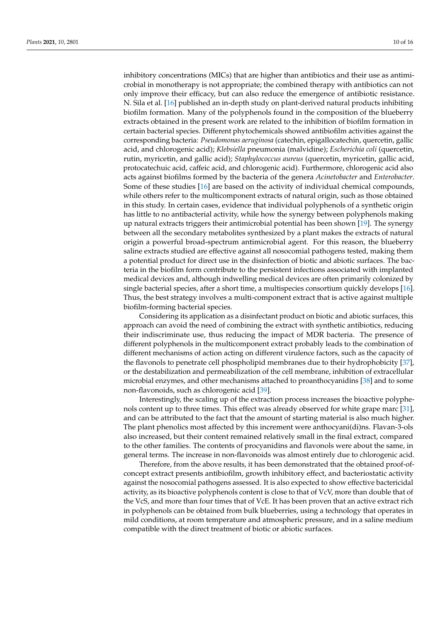inhibitory concentrations (MICs) that are higher than antibiotics and their use as antimicrobial in monotherapy is not appropriate; the combined therapy with antibiotics can not only improve their efficacy, but can also reduce the emergence of antibiotic resistance. N. Sila et al. [\[16\]](#page-14-5) published an in-depth study on plant-derived natural products inhibiting biofilm formation. Many of the polyphenols found in the composition of the blueberry extracts obtained in the present work are related to the inhibition of biofilm formation in certain bacterial species. Different phytochemicals showed antibiofilm activities against the corresponding bacteria: *Pseudomonas aeruginosa* (catechin, epigallocatechin, quercetin, gallic acid, and chlorogenic acid); *Klebsiella* pneumonia (malvidine); *Escherichia coli* (quercetin, rutin, myricetin, and gallic acid); *Staphylococcus aureus* (quercetin, myricetin, gallic acid, protocatechuic acid, caffeic acid, and chlorogenic acid). Furthermore, chlorogenic acid also acts against biofilms formed by the bacteria of the genera *Acinetobacter* and *Enterobacter*. Some of these studies [\[16\]](#page-14-5) are based on the activity of individual chemical compounds, while others refer to the multicomponent extracts of natural origin, such as those obtained in this study. In certain cases, evidence that individual polyphenols of a synthetic origin has little to no antibacterial activity, while how the synergy between polyphenols making up natural extracts triggers their antimicrobial potential has been shown [\[19\]](#page-14-18). The synergy between all the secondary metabolites synthesized by a plant makes the extracts of natural origin a powerful broad-spectrum antimicrobial agent. For this reason, the blueberry saline extracts studied are effective against all nosocomial pathogens tested, making them a potential product for direct use in the disinfection of biotic and abiotic surfaces. The bacteria in the biofilm form contribute to the persistent infections associated with implanted medical devices and, although indwelling medical devices are often primarily colonized by single bacterial species, after a short time, a multispecies consortium quickly develops [\[16\]](#page-14-5). Thus, the best strategy involves a multi-component extract that is active against multiple biofilm-forming bacterial species.

Considering its application as a disinfectant product on biotic and abiotic surfaces, this approach can avoid the need of combining the extract with synthetic antibiotics, reducing their indiscriminate use, thus reducing the impact of MDR bacteria. The presence of different polyphenols in the multicomponent extract probably leads to the combination of different mechanisms of action acting on different virulence factors, such as the capacity of the flavonols to penetrate cell phospholipid membranes due to their hydrophobicity [\[37\]](#page-15-4), or the destabilization and permeabilization of the cell membrane, inhibition of extracellular microbial enzymes, and other mechanisms attached to proanthocyanidins [\[38\]](#page-15-5) and to some non-flavonoids, such as chlorogenic acid [\[39\]](#page-15-6).

Interestingly, the scaling up of the extraction process increases the bioactive polyphenols content up to three times. This effect was already observed for white grape marc [\[31\]](#page-14-16), and can be attributed to the fact that the amount of starting material is also much higher. The plant phenolics most affected by this increment were anthocyani(di)ns. Flavan-3-ols also increased, but their content remained relatively small in the final extract, compared to the other families. The contents of procyanidins and flavonols were about the same, in general terms. The increase in non-flavonoids was almost entirely due to chlorogenic acid.

Therefore, from the above results, it has been demonstrated that the obtained proof-ofconcept extract presents antibiofilm, growth inhibitory effect, and bacteriostatic activity against the nosocomial pathogens assessed. It is also expected to show effective bactericidal activity, as its bioactive polyphenols content is close to that of VcV, more than double that of the VcS, and more than four times that of VcE. It has been proven that an active extract rich in polyphenols can be obtained from bulk blueberries, using a technology that operates in mild conditions, at room temperature and atmospheric pressure, and in a saline medium compatible with the direct treatment of biotic or abiotic surfaces.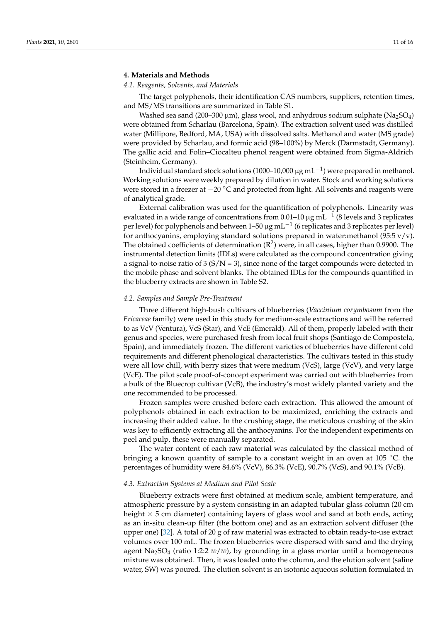# **4. Materials and Methods**

# *4.1. Reagents, Solvents, and Materials*

The target polyphenols, their identification CAS numbers, suppliers, retention times, and MS/MS transitions are summarized in Table S1.

Washed sea sand (200–300  $\mu$ m), glass wool, and anhydrous sodium sulphate (Na<sub>2</sub>SO<sub>4</sub>) were obtained from Scharlau (Barcelona, Spain). The extraction solvent used was distilled water (Millipore, Bedford, MA, USA) with dissolved salts. Methanol and water (MS grade) were provided by Scharlau, and formic acid (98–100%) by Merck (Darmstadt, Germany). The gallic acid and Folin–Ciocalteu phenol reagent were obtained from Sigma-Aldrich (Steinheim, Germany).

Individual standard stock solutions (1000–10,000 µg mL $^{-1}$ ) were prepared in methanol. Working solutions were weekly prepared by dilution in water. Stock and working solutions were stored in a freezer at −20 °C and protected from light. All solvents and reagents were of analytical grade.

External calibration was used for the quantification of polyphenols. Linearity was evaluated in a wide range of concentrations from 0.01–10 µg mL $^{-1}$  (8 levels and 3 replicates per level) for polyphenols and between 1-50  $\mu$ g mL<sup>-1</sup> (6 replicates and 3 replicates per level) for anthocyanins, employing standard solutions prepared in water:methanol (95:5  $v/v$ ). The obtained coefficients of determination  $(R^2)$  were, in all cases, higher than 0.9900. The instrumental detection limits (IDLs) were calculated as the compound concentration giving a signal-to-noise ratio of 3  $(S/N = 3)$ , since none of the target compounds were detected in the mobile phase and solvent blanks. The obtained IDLs for the compounds quantified in the blueberry extracts are shown in Table S2.

#### *4.2. Samples and Sample Pre-Treatment*

Three different high-bush cultivars of blueberries (*Vaccinium corymbosum* from the *Ericaceae* family) were used in this study for medium-scale extractions and will be referred to as VcV (Ventura), VcS (Star), and VcE (Emerald). All of them, properly labeled with their genus and species, were purchased fresh from local fruit shops (Santiago de Compostela, Spain), and immediately frozen. The different varieties of blueberries have different cold requirements and different phenological characteristics. The cultivars tested in this study were all low chill, with berry sizes that were medium (VcS), large (VcV), and very large (VcE). The pilot scale proof-of-concept experiment was carried out with blueberries from a bulk of the Bluecrop cultivar (VcB), the industry's most widely planted variety and the one recommended to be processed.

Frozen samples were crushed before each extraction. This allowed the amount of polyphenols obtained in each extraction to be maximized, enriching the extracts and increasing their added value. In the crushing stage, the meticulous crushing of the skin was key to efficiently extracting all the anthocyanins. For the independent experiments on peel and pulp, these were manually separated.

The water content of each raw material was calculated by the classical method of bringing a known quantity of sample to a constant weight in an oven at 105  $^{\circ}$ C. the percentages of humidity were 84.6% (VcV), 86.3% (VcE), 90.7% (VcS), and 90.1% (VcB).

#### *4.3. Extraction Systems at Medium and Pilot Scale*

Blueberry extracts were first obtained at medium scale, ambient temperature, and atmospheric pressure by a system consisting in an adapted tubular glass column (20 cm height  $\times$  5 cm diameter) containing layers of glass wool and sand at both ends, acting as an in-situ clean-up filter (the bottom one) and as an extraction solvent diffuser (the upper one) [\[32\]](#page-14-17). A total of 20 g of raw material was extracted to obtain ready-to-use extract volumes over 100 mL. The frozen blueberries were dispersed with sand and the drying agent Na<sub>2</sub>SO<sub>4</sub> (ratio 1:2:2  $w/w$ ), by grounding in a glass mortar until a homogeneous mixture was obtained. Then, it was loaded onto the column, and the elution solvent (saline water, SW) was poured. The elution solvent is an isotonic aqueous solution formulated in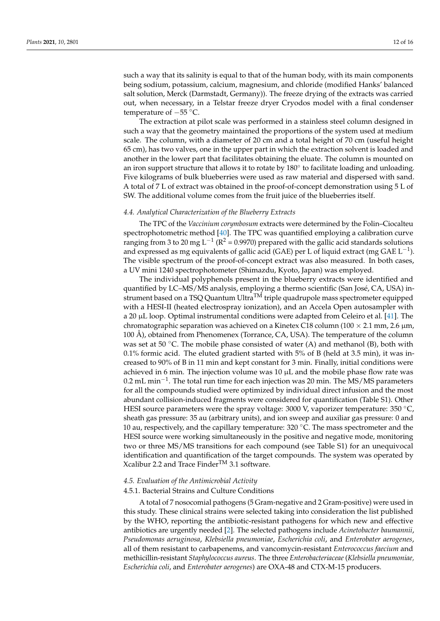such a way that its salinity is equal to that of the human body, with its main components being sodium, potassium, calcium, magnesium, and chloride (modified Hanks' balanced salt solution, Merck (Darmstadt, Germany)). The freeze drying of the extracts was carried out, when necessary, in a Telstar freeze dryer Cryodos model with a final condenser temperature of −55 ◦C.

The extraction at pilot scale was performed in a stainless steel column designed in such a way that the geometry maintained the proportions of the system used at medium scale. The column, with a diameter of 20 cm and a total height of 70 cm (useful height 65 cm), has two valves, one in the upper part in which the extraction solvent is loaded and another in the lower part that facilitates obtaining the eluate. The column is mounted on an iron support structure that allows it to rotate by  $180^{\circ}$  to facilitate loading and unloading. Five kilograms of bulk blueberries were used as raw material and dispersed with sand. A total of 7 L of extract was obtained in the proof-of-concept demonstration using 5 L of SW. The additional volume comes from the fruit juice of the blueberries itself.

#### <span id="page-11-0"></span>*4.4. Analytical Characterization of the Blueberry Extracts*

The TPC of the *Vaccinium corymbosum* extracts were determined by the Folin–Ciocalteu spectrophotometric method [\[40\]](#page-15-7). The TPC was quantified employing a calibration curve ranging from 3 to 20 mg L<sup>-1</sup> ( $\mathbb{R}^2$  = 0.9970) prepared with the gallic acid standards solutions and expressed as mg equivalents of gallic acid (GAE) per L of liquid extract (mg GAE  $\mathrm{L}^{-1}$ ). The visible spectrum of the proof-of-concept extract was also measured. In both cases, a UV mini 1240 spectrophotometer (Shimazdu, Kyoto, Japan) was employed.

The individual polyphenols present in the blueberry extracts were identified and quantified by LC–MS/MS analysis, employing a thermo scientific (San José, CA, USA) instrument based on a TSQ Quantum Ultra<sup>TM</sup> triple quadrupole mass spectrometer equipped with a HESI-II (heated electrospray ionization), and an Accela Open autosampler with a 20  $\mu$ L loop. Optimal instrumental conditions were adapted from Celeiro et al. [\[41\]](#page-15-8). The chromatographic separation was achieved on a Kinetex C18 column (100  $\times$  2.1 mm, 2.6  $\mu$ m, 100 Å), obtained from Phenomenex (Torrance, CA, USA). The temperature of the column was set at 50  $\degree$ C. The mobile phase consisted of water (A) and methanol (B), both with 0.1% formic acid. The eluted gradient started with 5% of B (held at 3.5 min), it was increased to 90% of B in 11 min and kept constant for 3 min. Finally, initial conditions were achieved in 6 min. The injection volume was  $10 \mu$ L and the mobile phase flow rate was 0.2 mL min<sup>-1</sup>. The total run time for each injection was 20 min. The MS/MS parameters for all the compounds studied were optimized by individual direct infusion and the most abundant collision-induced fragments were considered for quantification (Table S1). Other HESI source parameters were the spray voltage: 3000 V, vaporizer temperature: 350 °C, sheath gas pressure: 35 au (arbitrary units), and ion sweep and auxiliar gas pressure: 0 and 10 au, respectively, and the capillary temperature:  $320\text{ °C}$ . The mass spectrometer and the HESI source were working simultaneously in the positive and negative mode, monitoring two or three MS/MS transitions for each compound (see Table S1) for an unequivocal identification and quantification of the target compounds. The system was operated by Xcalibur 2.2 and Trace Finder<sup>TM</sup> 3.1 software.

#### *4.5. Evaluation of the Antimicrobial Activity*

#### 4.5.1. Bacterial Strains and Culture Conditions

A total of 7 nosocomial pathogens (5 Gram-negative and 2 Gram-positive) were used in this study. These clinical strains were selected taking into consideration the list published by the WHO, reporting the antibiotic-resistant pathogens for which new and effective antibiotics are urgently needed [\[2\]](#page-13-5). The selected pathogens include *Acinetobacter baumannii*, *Pseudomonas aeruginosa*, *Klebsiella pneumoniae*, *Escherichia coli*, and *Enterobater aerogenes*, all of them resistant to carbapenems, and vancomycin-resistant *Enterococcus faecium* and methicillin-resistant *Staphylococcus aureus*. The three *Enterobacteriaceae* (*Klebsiella pneumoniae, Escherichia coli*, and *Enterobater aerogenes*) are OXA-48 and CTX-M-15 producers.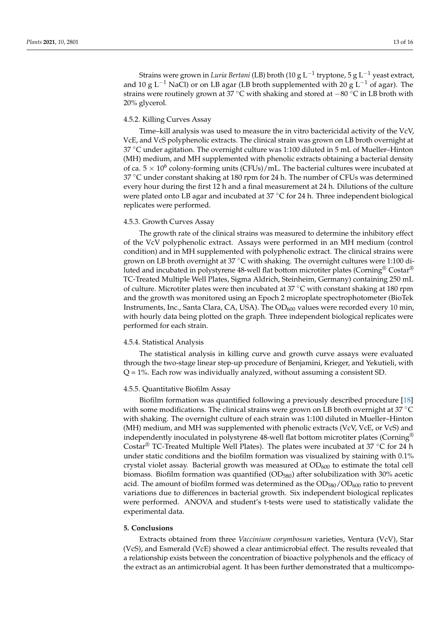Strains were grown in *Luria Bertani* (LB) broth (10 g L−<sup>1</sup> tryptone, 5 g L−<sup>1</sup> yeast extract, and 10 g L<sup>-1</sup> NaCl) or on LB agar (LB broth supplemented with 20 g L<sup>-1</sup> of agar). The strains were routinely grown at 37 °C with shaking and stored at −80 °C in LB broth with 20% glycerol.

### 4.5.2. Killing Curves Assay

Time–kill analysis was used to measure the in vitro bactericidal activity of the VcV, VcE, and VcS polyphenolic extracts. The clinical strain was grown on LB broth overnight at 37  $\degree$ C under agitation. The overnight culture was 1:100 diluted in 5 mL of Mueller–Hinton (MH) medium, and MH supplemented with phenolic extracts obtaining a bacterial density of ca.  $5 \times 10^6$  colony-forming units (CFUs)/mL. The bacterial cultures were incubated at  $37 \degree$ C under constant shaking at 180 rpm for 24 h. The number of CFUs was determined every hour during the first 12 h and a final measurement at 24 h. Dilutions of the culture were plated onto LB agar and incubated at  $37 \degree C$  for 24 h. Three independent biological replicates were performed.

# 4.5.3. Growth Curves Assay

The growth rate of the clinical strains was measured to determine the inhibitory effect of the VcV polyphenolic extract. Assays were performed in an MH medium (control condition) and in MH supplemented with polyphenolic extract. The clinical strains were grown on LB broth overnight at 37 °C with shaking. The overnight cultures were 1:100 diluted and incubated in polystyrene 48-well flat bottom microtiter plates (Corning<sup>®</sup> Costar<sup>®</sup>) TC-Treated Multiple Well Plates, Sigma Aldrich, Steinheim, Germany) containing 250 mL of culture. Microtiter plates were then incubated at 37  $°C$  with constant shaking at 180 rpm and the growth was monitored using an Epoch 2 microplate spectrophotometer (BioTek Instruments, Inc., Santa Clara, CA, USA). The  $OD_{600}$  values were recorded every 10 min, with hourly data being plotted on the graph. Three independent biological replicates were performed for each strain.

## 4.5.4. Statistical Analysis

The statistical analysis in killing curve and growth curve assays were evaluated through the two-stage linear step-up procedure of Benjamini, Krieger, and Yekutieli, with  $Q = 1\%$ . Each row was individually analyzed, without assuming a consistent SD.

# 4.5.5. Quantitative Biofilm Assay

Biofilm formation was quantified following a previously described procedure [\[18\]](#page-14-6) with some modifications. The clinical strains were grown on LB broth overnight at  $37^{\circ}$ C with shaking. The overnight culture of each strain was 1:100 diluted in Mueller–Hinton (MH) medium, and MH was supplemented with phenolic extracts (VcV, VcE, or VcS) and independently inoculated in polystyrene 48-well flat bottom microtiter plates (Corning® Costar® TC-Treated Multiple Well Plates). The plates were incubated at 37 ◦C for 24 h under static conditions and the biofilm formation was visualized by staining with 0.1% crystal violet assay. Bacterial growth was measured at  $OD<sub>600</sub>$  to estimate the total cell biomass. Biofilm formation was quantified ( $OD<sub>580</sub>$ ) after solubilization with 30% acetic acid. The amount of biofilm formed was determined as the  $OD_{580}/OD_{600}$  ratio to prevent variations due to differences in bacterial growth. Six independent biological replicates were performed. ANOVA and student's t-tests were used to statistically validate the experimental data.

# **5. Conclusions**

Extracts obtained from three *Vaccinium corymbosum* varieties, Ventura (VcV), Star (VcS), and Esmerald (VcE) showed a clear antimicrobial effect. The results revealed that a relationship exists between the concentration of bioactive polyphenols and the efficacy of the extract as an antimicrobial agent. It has been further demonstrated that a multicompo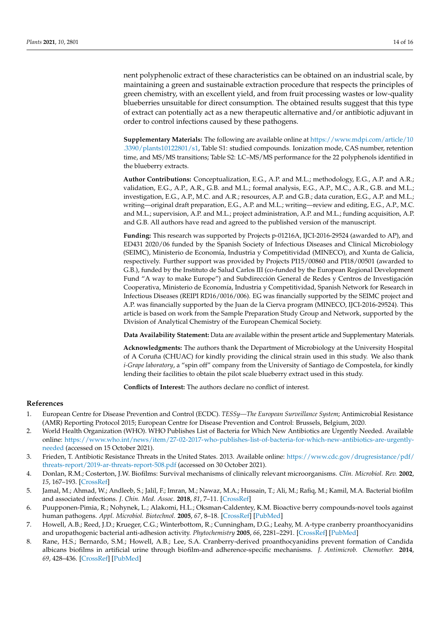nent polyphenolic extract of these characteristics can be obtained on an industrial scale, by maintaining a green and sustainable extraction procedure that respects the principles of green chemistry, with an excellent yield, and from fruit processing wastes or low-quality blueberries unsuitable for direct consumption. The obtained results suggest that this type of extract can potentially act as a new therapeutic alternative and/or antibiotic adjuvant in order to control infections caused by these pathogens.

**Supplementary Materials:** The following are available online at [https://www.mdpi.com/article/10](https://www.mdpi.com/article/10.3390/plants10122801/s1) [.3390/plants10122801/s1,](https://www.mdpi.com/article/10.3390/plants10122801/s1) Table S1: studied compounds. Ionization mode, CAS number, retention time, and MS/MS transitions; Table S2: LC–MS/MS performance for the 22 polyphenols identified in the blueberry extracts.

**Author Contributions:** Conceptualization, E.G., A.P. and M.L.; methodology, E.G., A.P. and A.R.; validation, E.G., A.P., A.R., G.B. and M.L.; formal analysis, E.G., A.P., M.C., A.R., G.B. and M.L.; investigation, E.G., A.P., M.C. and A.R.; resources, A.P. and G.B.; data curation, E.G., A.P. and M.L.; writing—original draft preparation, E.G., A.P. and M.L.; writing—review and editing, E.G., A.P., M.C. and M.L.; supervision, A.P. and M.L.; project administration, A.P. and M.L.; funding acquisition, A.P. and G.B. All authors have read and agreed to the published version of the manuscript.

**Funding:** This research was supported by Projects p-01216A, IJCI-2016-29524 (awarded to AP), and ED431 2020/06 funded by the Spanish Society of Infectious Diseases and Clinical Microbiology (SEIMC), Ministerio de Economía, Industria y Competitividad (MINECO), and Xunta de Galicia, respectively. Further support was provided by Projects PI15/00860 and PI18/00501 (awarded to G.B.), funded by the Instituto de Salud Carlos III (co-funded by the European Regional Development Fund "A way to make Europe") and Subdirección General de Redes y Centros de Investigación Cooperativa, Ministerio de Economía, Industria y Competitividad, Spanish Network for Research in Infectious Diseases (REIPI RD16/0016/006). EG was financially supported by the SEIMC project and A.P. was financially supported by the Juan de la Cierva program (MINECO, IJCI-2016-29524). This article is based on work from the Sample Preparation Study Group and Network, supported by the Division of Analytical Chemistry of the European Chemical Society.

**Data Availability Statement:** Data are available within the present article and Supplementary Materials.

**Acknowledgments:** The authors thank the Department of Microbiology at the University Hospital of A Coruña (CHUAC) for kindly providing the clinical strain used in this study. We also thank *i-Grape laboratory*, a "spin off" company from the University of Santiago de Compostela, for kindly lending their facilities to obtain the pilot scale blueberry extract used in this study.

**Conflicts of Interest:** The authors declare no conflict of interest.

#### **References**

- <span id="page-13-0"></span>1. European Centre for Disease Prevention and Control (ECDC). *TESSy—The European Surveillance System*; Antimicrobial Resistance (AMR) Reporting Protocol 2015; European Centre for Disease Prevention and Control: Brussels, Belgium, 2020.
- <span id="page-13-5"></span>2. World Health Organization (WHO). WHO Publishes List of Bacteria for Which New Antibiotics are Urgently Needed. Available online: [https://www.who.int/news/item/27-02-2017-who-publishes-list-of-bacteria-for-which-new-antibiotics-are-urgently](https://www.who.int/news/item/27-02-2017-who-publishes-list-of-bacteria-for-which-new-antibiotics-are-urgently-needed)[needed](https://www.who.int/news/item/27-02-2017-who-publishes-list-of-bacteria-for-which-new-antibiotics-are-urgently-needed) (accessed on 15 October 2021).
- <span id="page-13-1"></span>3. Frieden, T. Antibiotic Resistance Threats in the United States. 2013. Available online: [https://www.cdc.gov/drugresistance/pdf/](https://www.cdc.gov/drugresistance/pdf/threats-report/2019-ar-threats-report-508.pdf) [threats-report/2019-ar-threats-report-508.pdf](https://www.cdc.gov/drugresistance/pdf/threats-report/2019-ar-threats-report-508.pdf) (accessed on 30 October 2021).
- <span id="page-13-2"></span>4. Donlan, R.M.; Costerton, J.W. Biofilms: Survival mechanisms of clinically relevant microorganisms. *Clin. Microbiol. Rev.* **2002**, *15*, 167–193. [\[CrossRef\]](http://doi.org/10.1128/CMR.15.2.167-193.2002)
- <span id="page-13-3"></span>5. Jamal, M.; Ahmad, W.; Andleeb, S.; Jalil, F.; Imran, M.; Nawaz, M.A.; Hussain, T.; Ali, M.; Rafiq, M.; Kamil, M.A. Bacterial biofilm and associated infections. *J. Chin. Med. Assoc.* **2018**, *81*, 7–11. [\[CrossRef\]](http://doi.org/10.1016/j.jcma.2017.07.012)
- <span id="page-13-4"></span>6. Puupponen-Pimia, R.; Nohynek, L.; Alakomi, H.L.; Oksman-Caldentey, K.M. Bioactive berry compounds-novel tools against human pathogens. *Appl. Microbiol. Biotechnol.* **2005**, *67*, 8–18. [\[CrossRef\]](http://doi.org/10.1007/s00253-004-1817-x) [\[PubMed\]](http://www.ncbi.nlm.nih.gov/pubmed/15578177)
- 7. Howell, A.B.; Reed, J.D.; Krueger, C.G.; Winterbottom, R.; Cunningham, D.G.; Leahy, M. A-type cranberry proanthocyanidins and uropathogenic bacterial anti-adhesion activity. *Phytochemistry* **2005**, *66*, 2281–2291. [\[CrossRef\]](http://doi.org/10.1016/j.phytochem.2005.05.022) [\[PubMed\]](http://www.ncbi.nlm.nih.gov/pubmed/16055161)
- 8. Rane, H.S.; Bernardo, S.M.; Howell, A.B.; Lee, S.A. Cranberry-derived proanthocyanidins prevent formation of Candida albicans biofilms in artificial urine through biofilm-and adherence-specific mechanisms. *J. Antimicrob. Chemother.* **2014**, *69*, 428–436. [\[CrossRef\]](http://doi.org/10.1093/jac/dkt398) [\[PubMed\]](http://www.ncbi.nlm.nih.gov/pubmed/24114570)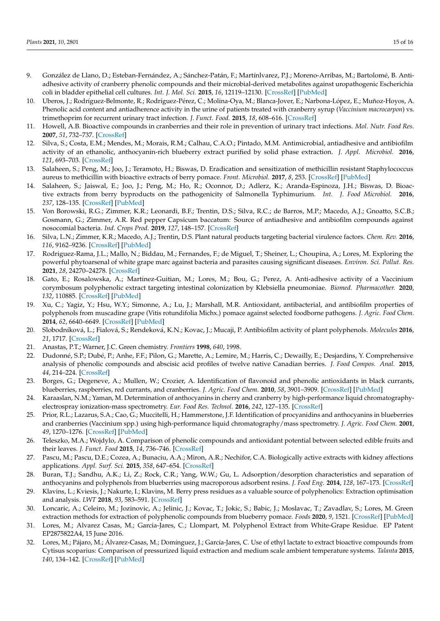- 9. González de Llano, D.; Esteban-Fernández, A.; Sánchez-Patán, F.; Martínlvarez, P.J.; Moreno-Arribas, M.; Bartolomé, B. Antiadhesive activity of cranberry phenolic compounds and their microbial-derived metabolites against uropathogenic Escherichia coli in bladder epithelial cell cultures. *Int. J. Mol. Sci.* **2015**, *16*, 12119–12130. [\[CrossRef\]](http://doi.org/10.3390/ijms160612119) [\[PubMed\]](http://www.ncbi.nlm.nih.gov/pubmed/26023719)
- 10. Uberos, J.; Rodríguez-Belmonte, R.; Rodríguez-Pérez, C.; Molina-Oya, M.; Blanca-Jover, E.; Narbona-López, E.; Muñoz-Hoyos, A. Phenolic acid content and antiadherence activity in the urine of patients treated with cranberry syrup (*Vaccinium macrocarpon*) vs. trimethoprim for recurrent urinary tract infection. *J. Funct. Food.* **2015**, *18*, 608–616. [\[CrossRef\]](http://doi.org/10.1016/j.jff.2015.08.009)
- <span id="page-14-0"></span>11. Howell, A.B. Bioactive compounds in cranberries and their role in prevention of urinary tract infections. *Mol. Nutr. Food Res.* **2007**, *51*, 732–737. [\[CrossRef\]](http://doi.org/10.1002/mnfr.200700038)
- <span id="page-14-1"></span>12. Silva, S.; Costa, E.M.; Mendes, M.; Morais, R.M.; Calhau, C.A.O.; Pintado, M.M. Antimicrobial, antiadhesive and antibiofilm activity of an ethanolic, anthocyanin-rich blueberry extract purified by solid phase extraction. *J. Appl. Microbiol.* **2016**, *121*, 693–703. [\[CrossRef\]](http://doi.org/10.1111/jam.13215)
- <span id="page-14-3"></span>13. Salaheen, S.; Peng, M.; Joo, J.; Teramoto, H.; Biswas, D. Eradication and sensitization of methicillin resistant Staphylococcus aureus to methicillin with bioactive extracts of berry pomace. *Front. Microbiol.* **2017**, *8*, 253. [\[CrossRef\]](http://doi.org/10.3389/fmicb.2017.00253) [\[PubMed\]](http://www.ncbi.nlm.nih.gov/pubmed/28270804)
- <span id="page-14-2"></span>14. Salaheen, S.; Jaiswal, E.; Joo, J.; Peng, M.; Ho, R.; Oconnor, D.; Adlerz, K.; Aranda-Espinoza, J.H.; Biswas, D. Bioactive extracts from berry byproducts on the pathogenicity of Salmonella Typhimurium. *Int. J. Food Microbiol.* **2016**, *237*, 128–135. [\[CrossRef\]](http://doi.org/10.1016/j.ijfoodmicro.2016.08.027) [\[PubMed\]](http://www.ncbi.nlm.nih.gov/pubmed/27565525)
- <span id="page-14-4"></span>15. Von Borowski, R.G.; Zimmer, K.R.; Leonardi, B.F.; Trentin, D.S.; Silva, R.C.; de Barros, M.P.; Macedo, A.J.; Gnoatto, S.C.B.; Gosmann, G.; Zimmer, A.R. Red pepper Capsicum baccatum: Source of antiadhesive and antibiofilm compounds against nosocomial bacteria. *Ind. Crops Prod.* **2019**, *127*, 148–157. [\[CrossRef\]](http://doi.org/10.1016/j.indcrop.2018.10.011)
- <span id="page-14-5"></span>16. Silva, L.N.; Zimmer, K.R.; Macedo, A.J.; Trentin, D.S. Plant natural products targeting bacterial virulence factors. *Chem. Rev.* **2016**, *116*, 9162–9236. [\[CrossRef\]](http://doi.org/10.1021/acs.chemrev.6b00184) [\[PubMed\]](http://www.ncbi.nlm.nih.gov/pubmed/27437994)
- 17. Rodriguez-Rama, J.L.; Mallo, N.; Biddau, M.; Fernandes, F.; de Miguel, T.; Sheiner, L.; Choupina, A.; Lores, M. Exploring the powerful phytoarsenal of white grape marc against bacteria and parasites causing significant diseases. *Environ. Sci. Pollut. Res.* **2021**, *28*, 24270–24278. [\[CrossRef\]](http://doi.org/10.1007/s11356-019-07472-1)
- <span id="page-14-6"></span>18. Gato, E.; Rosalowska, A.; Martinez-Guitian, M.; Lores, M.; Bou, G.; Perez, A. Anti-adhesive activity of a Vaccinium corymbosum polyphenolic extract targeting intestinal colonization by Klebsiella pneumoniae. *Biomed. Pharmacother.* **2020**, *132*, 110885. [\[CrossRef\]](http://doi.org/10.1016/j.biopha.2020.110885) [\[PubMed\]](http://www.ncbi.nlm.nih.gov/pubmed/33113420)
- <span id="page-14-18"></span>19. Xu, C.; Yagiz, Y.; Hsu, W.Y.; Simonne, A.; Lu, J.; Marshall, M.R. Antioxidant, antibacterial, and antibiofilm properties of polyphenols from muscadine grape (Vitis rotundifolia Michx.) pomace against selected foodborne pathogens. *J. Agric. Food Chem.* **2014**, *62*, 6640–6649. [\[CrossRef\]](http://doi.org/10.1021/jf501073q) [\[PubMed\]](http://www.ncbi.nlm.nih.gov/pubmed/24865879)
- <span id="page-14-7"></span>20. Slobodníková, L.; Fialová, S.; Rendeková, K.N.; Kovac, J.; Mucaji, P. Antibiofilm activity of plant polyphenols. *Molecules* **2016**, *21*, 1717. [\[CrossRef\]](http://doi.org/10.3390/molecules21121717)
- <span id="page-14-8"></span>21. Anastas, P.T.; Warner, J.C. Green chemistry. *Frontiers* **1998**, *640*, 1998.
- <span id="page-14-9"></span>22. Dudonné, S.P.; Dubé, P.; Anhe, F.F.; Pilon, G.; Marette, A.; Lemire, M.; Harris, C.; Dewailly, E.; Desjardins, Y. Comprehensive analysis of phenolic compounds and abscisic acid profiles of twelve native Canadian berries. *J. Food Compos. Anal.* **2015**, *44*, 214–224. [\[CrossRef\]](http://doi.org/10.1016/j.jfca.2015.09.003)
- 23. Borges, G.; Degeneve, A.; Mullen, W.; Crozier, A. Identification of flavonoid and phenolic antioxidants in black currants, blueberries, raspberries, red currants, and cranberries. *J. Agric. Food Chem.* **2010**, *58*, 3901–3909. [\[CrossRef\]](http://doi.org/10.1021/jf902263n) [\[PubMed\]](http://www.ncbi.nlm.nih.gov/pubmed/20000747)
- <span id="page-14-10"></span>24. Karaaslan, N.M.; Yaman, M. Determination of anthocyanins in cherry and cranberry by high-performance liquid chromatographyelectrospray ionization-mass spectrometry. *Eur. Food Res. Technol.* **2016**, *242*, 127–135. [\[CrossRef\]](http://doi.org/10.1007/s00217-015-2524-9)
- <span id="page-14-11"></span>25. Prior, R.L.; Lazarus, S.A.; Cao, G.; Muccitelli, H.; Hammerstone, J.F. Identification of procyanidins and anthocyanins in blueberries and cranberries (Vaccinium spp.) using high-performance liquid chromatography/mass spectrometry. *J. Agric. Food Chem.* **2001**, *49*, 1270–1276. [\[CrossRef\]](http://doi.org/10.1021/jf001211q) [\[PubMed\]](http://www.ncbi.nlm.nih.gov/pubmed/11312849)
- 26. Teleszko, M.A.; Wojdylo, A. Comparison of phenolic compounds and antioxidant potential between selected edible fruits and their leaves. *J. Funct. Food* **2015**, *14*, 736–746. [\[CrossRef\]](http://doi.org/10.1016/j.jff.2015.02.041)
- <span id="page-14-14"></span>27. Pascu, M.; Pascu, D.E.; Cozea, A.; Bunaciu, A.A.; Miron, A.R.; Nechifor, C.A. Biologically active extracts with kidney affections applications. *Appl. Surf. Sci.* **2015**, *358*, 647–654. [\[CrossRef\]](http://doi.org/10.1016/j.apsusc.2015.09.087)
- <span id="page-14-15"></span>28. Buran, T.J.; Sandhu, A.K.; Li, Z.; Rock, C.R.; Yang, W.W.; Gu, L. Adsorption/desorption characteristics and separation of anthocyanins and polyphenols from blueberries using macroporous adsorbent resins. *J. Food Eng.* **2014**, *128*, 167–173. [\[CrossRef\]](http://doi.org/10.1016/j.jfoodeng.2013.12.029)
- <span id="page-14-12"></span>29. Klavins, L.; Kviesis, J.; Nakurte, I.; Klavins, M. Berry press residues as a valuable source of polyphenolics: Extraction optimisation and analysis. *LWT* **2018**, *93*, 583–591. [\[CrossRef\]](http://doi.org/10.1016/j.lwt.2018.04.021)
- <span id="page-14-13"></span>30. Loncaric, A.; Celeiro, M.; Jozinovic, A.; Jelinic, J.; Kovac, T.; Jokic, S.; Babic, J.; Moslavac, T.; Zavadlav, S.; Lores, M. Green extraction methods for extraction of polyphenolic compounds from blueberry pomace. *Foods* **2020**, *9*, 1521. [\[CrossRef\]](http://doi.org/10.3390/foods9111521) [\[PubMed\]](http://www.ncbi.nlm.nih.gov/pubmed/33113955)
- <span id="page-14-16"></span>31. Lores, M.; Alvarez Casas, M.; Garcia-Jares, C.; Llompart, M. Polyphenol Extract from White-Grape Residue. EP Patent EP2875822A4, 15 June 2016.
- <span id="page-14-17"></span>32. Lores, M.; Pájaro, M.; Álvarez-Casas, M.; Domínguez, J.; García-Jares, C. Use of ethyl lactate to extract bioactive compounds from Cytisus scoparius: Comparison of pressurized liquid extraction and medium scale ambient temperature systems. *Talanta* **2015**, *140*, 134–142. [\[CrossRef\]](http://doi.org/10.1016/j.talanta.2015.03.034) [\[PubMed\]](http://www.ncbi.nlm.nih.gov/pubmed/26048835)